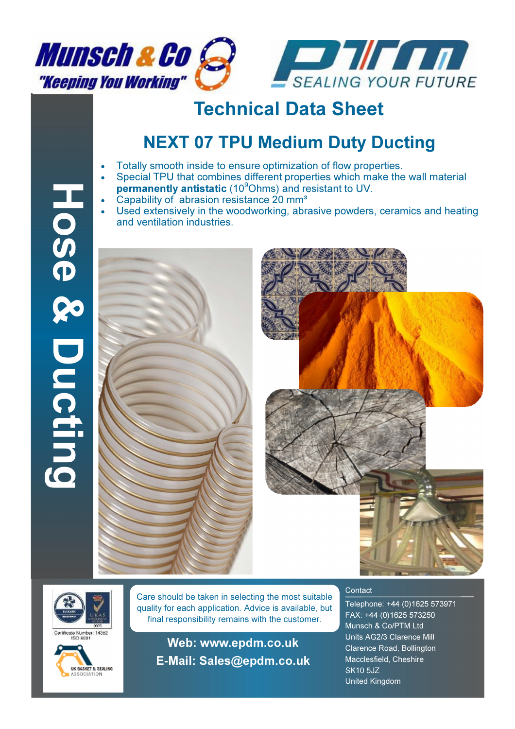



## Technical Data Sheet

## NEXT 07 TPU Medium Duty Ducting

- Totally smooth inside to ensure optimization of flow properties.
- Special TPU that combines different properties which make the wall material permanently antistatic  $(10^9$ Ohms) and resistant to UV.
- Capability of abrasion resistance 20 mm<sup>3</sup>
- Used extensively in the woodworking, abrasive powders, ceramics and heating and ventilation industries.











Care should be taken in selecting the most suitable quality for each application. Advice is available, but final responsibility remains with the customer.

Web: www.epdm.co.uk E**-**Mail: Sales@epdm.co.uk

## **Contact**

Telephone: +44 (0)1625 573971 FAX: +44 (0)1625 573250 Munsch & Co/PTM Ltd Units AG2/3 Clarence Mill Clarence Road, Bollington Macclesfield, Cheshire SK10 5JZ United Kingdom